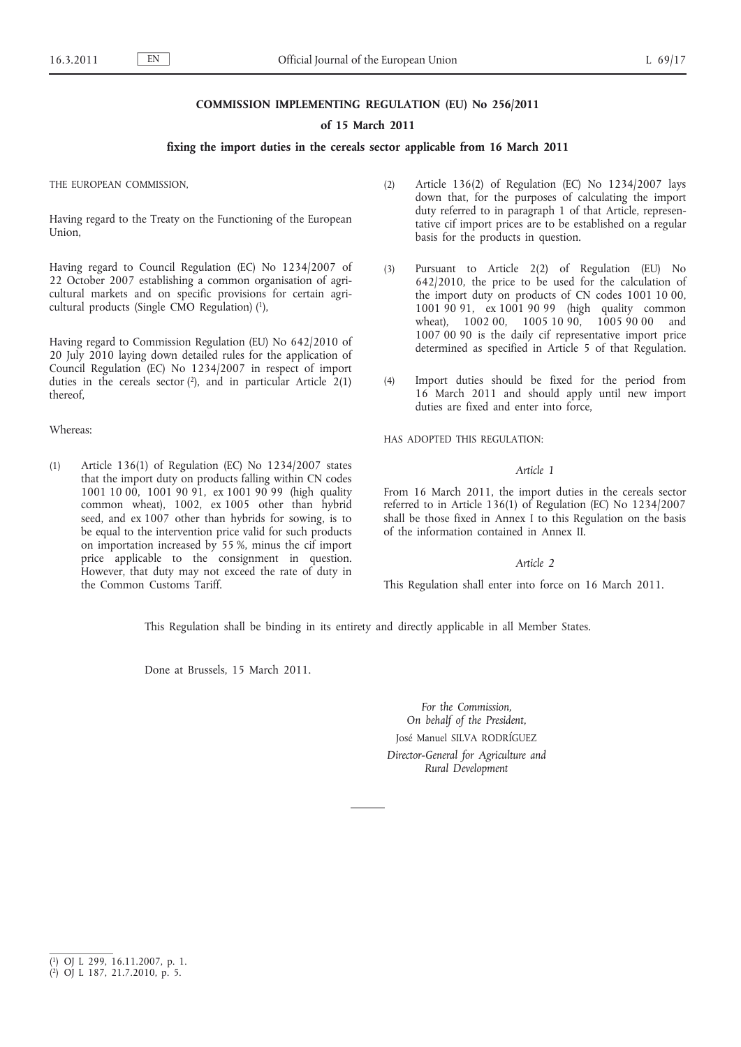### **COMMISSION IMPLEMENTING REGULATION (EU) No 256/2011**

### **of 15 March 2011**

# **fixing the import duties in the cereals sector applicable from 16 March 2011**

THE EUROPEAN COMMISSION,

Having regard to the Treaty on the Functioning of the European Union,

Having regard to Council Regulation (EC) No 1234/2007 of 22 October 2007 establishing a common organisation of agricultural markets and on specific provisions for certain agricultural products (Single CMO Regulation) (1),

Having regard to Commission Regulation (EU) No 642/2010 of 20 July 2010 laying down detailed rules for the application of Council Regulation (EC) No 1234/2007 in respect of import duties in the cereals sector  $(2)$ , and in particular Article  $2(1)$ thereof,

### Whereas:

(1) Article 136(1) of Regulation (EC) No 1234/2007 states that the import duty on products falling within CN codes 1001 10 00, 1001 90 91, ex 1001 90 99 (high quality common wheat), 1002, ex 1005 other than hybrid seed, and ex 1007 other than hybrids for sowing, is to be equal to the intervention price valid for such products on importation increased by 55 %, minus the cif import price applicable to the consignment in question. However, that duty may not exceed the rate of duty in the Common Customs Tariff.

- (2) Article 136(2) of Regulation (EC) No 1234/2007 lays down that, for the purposes of calculating the import duty referred to in paragraph 1 of that Article, representative cif import prices are to be established on a regular basis for the products in question.
- (3) Pursuant to Article 2(2) of Regulation (EU) No 642/2010, the price to be used for the calculation of the import duty on products of CN codes 1001 10 00, 1001 90 91, ex 1001 90 99 (high quality common wheat), 1002 00, 1005 10 90, 1005 90 00 and 1007 00 90 is the daily cif representative import price determined as specified in Article 5 of that Regulation.
- (4) Import duties should be fixed for the period from 16 March 2011 and should apply until new import duties are fixed and enter into force,

HAS ADOPTED THIS REGULATION:

### *Article 1*

From 16 March 2011, the import duties in the cereals sector referred to in Article 136(1) of Regulation (EC) No 1234/2007 shall be those fixed in Annex I to this Regulation on the basis of the information contained in Annex II.

### *Article 2*

This Regulation shall enter into force on 16 March 2011.

This Regulation shall be binding in its entirety and directly applicable in all Member States.

Done at Brussels, 15 March 2011.

*For the Commission, On behalf of the President,* José Manuel SILVA RODRÍGUEZ *Director-General for Agriculture and Rural Development*

<sup>(</sup> 1) OJ L 299, 16.11.2007, p. 1.

<sup>(</sup> 2) OJ L 187, 21.7.2010, p. 5.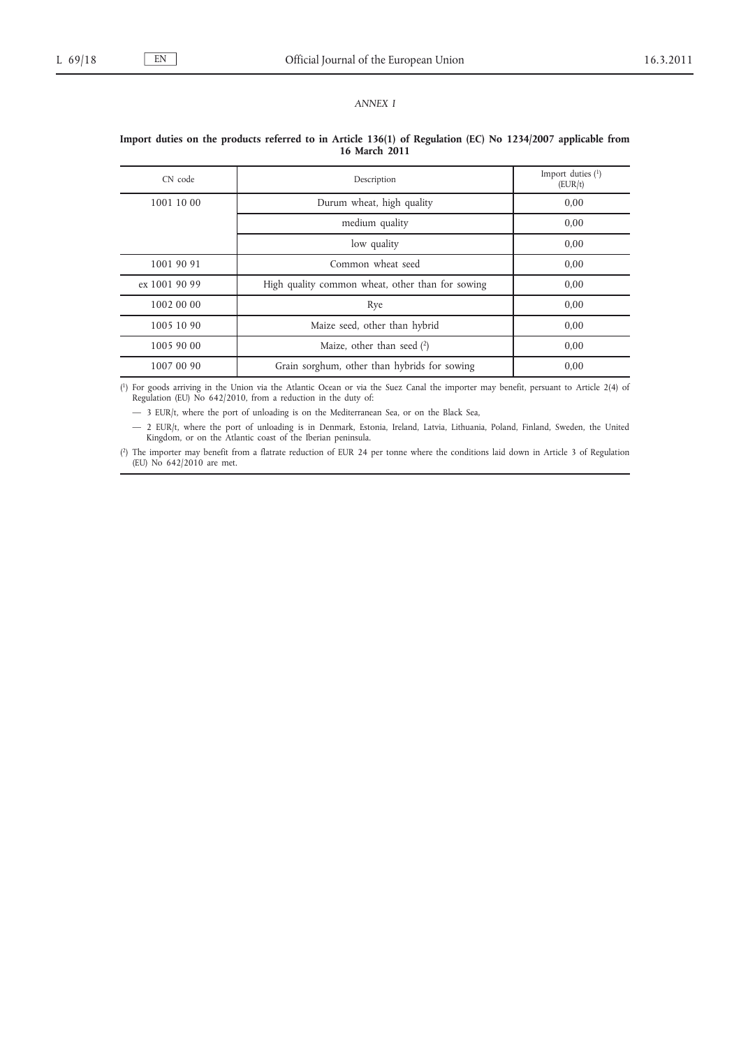*ANNEX I*

# $\text{CN code}$  Description  $\text{Description}$  Import duties (1) (EUR/t) 1001 10 00 Durum wheat, high quality 0,00 medium quality 0,00 low quality 0,00 1001 90 91 Common wheat seed 0,00 ex 1001 90 99 High quality common wheat, other than for sowing 0,00 1002 00 00 Rye Rye 0,00 1005 10 90 Maize seed, other than hybrid 0,00 1005 90 00 Maize, other than seed  $(2)$  0,00 1007 00 90 Grain sorghum, other than hybrids for sowing 0,00

### **Import duties on the products referred to in Article 136(1) of Regulation (EC) No 1234/2007 applicable from 16 March 2011**

( 1) For goods arriving in the Union via the Atlantic Ocean or via the Suez Canal the importer may benefit, persuant to Article 2(4) of Regulation (EU) No 642/2010, from a reduction in the duty of:

— 3 EUR/t, where the port of unloading is on the Mediterranean Sea, or on the Black Sea,

— 2 EUR/t, where the port of unloading is in Denmark, Estonia, Ireland, Latvia, Lithuania, Poland, Finland, Sweden, the United Kingdom, or on the Atlantic coast of the Iberian peninsula.

( 2) The importer may benefit from a flatrate reduction of EUR 24 per tonne where the conditions laid down in Article 3 of Regulation (EU) No 642/2010 are met.